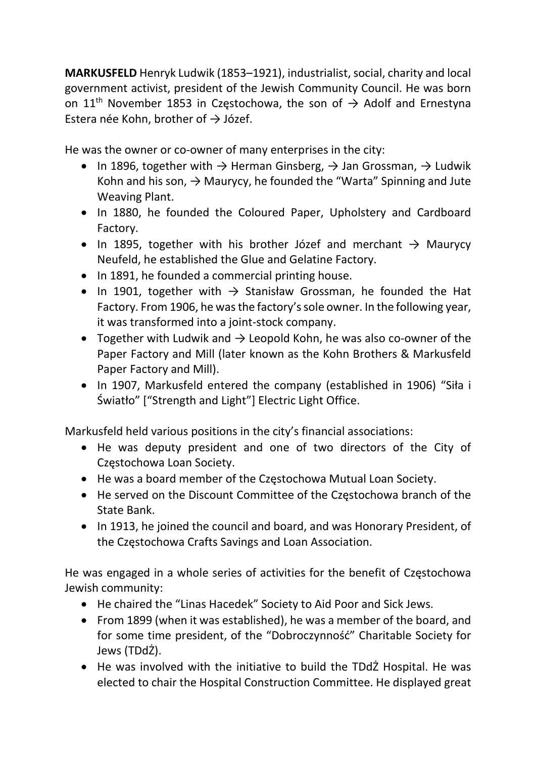MARKUSFELD Henryk Ludwik (1853–1921), industrialist, social, charity and local government activist, president of the Jewish Community Council. He was born on 11<sup>th</sup> November 1853 in Częstochowa, the son of  $\rightarrow$  Adolf and Ernestyna Estera née Kohn, brother of  $\rightarrow$  Józef.

He was the owner or co-owner of many enterprises in the city:

- In 1896, together with  $\rightarrow$  Herman Ginsberg,  $\rightarrow$  Jan Grossman,  $\rightarrow$  Ludwik Kohn and his son,  $\rightarrow$  Maurycy, he founded the "Warta" Spinning and Jute Weaving Plant.
- In 1880, he founded the Coloured Paper, Upholstery and Cardboard Factory.
- In 1895, together with his brother Józef and merchant  $\rightarrow$  Maurycy Neufeld, he established the Glue and Gelatine Factory.
- In 1891, he founded a commercial printing house.
- In 1901, together with  $\rightarrow$  Stanisław Grossman, he founded the Hat Factory. From 1906, he was the factory's sole owner. In the following year, it was transformed into a joint-stock company.
- Together with Ludwik and  $\rightarrow$  Leopold Kohn, he was also co-owner of the Paper Factory and Mill (later known as the Kohn Brothers & Markusfeld Paper Factory and Mill).
- In 1907, Markusfeld entered the company (established in 1906) "Siła i Światło" ["Strength and Light"] Electric Light Office.

Markusfeld held various positions in the city's financial associations:

- He was deputy president and one of two directors of the City of Częstochowa Loan Society.
- He was a board member of the Częstochowa Mutual Loan Society.
- He served on the Discount Committee of the Częstochowa branch of the State Bank.
- In 1913, he joined the council and board, and was Honorary President, of the Częstochowa Crafts Savings and Loan Association.

He was engaged in a whole series of activities for the benefit of Częstochowa Jewish community:

- He chaired the "Linas Hacedek" Society to Aid Poor and Sick Jews.
- From 1899 (when it was established), he was a member of the board, and for some time president, of the "Dobroczynność" Charitable Society for Jews (TDdŻ).
- He was involved with the initiative to build the TDdŻ Hospital. He was elected to chair the Hospital Construction Committee. He displayed great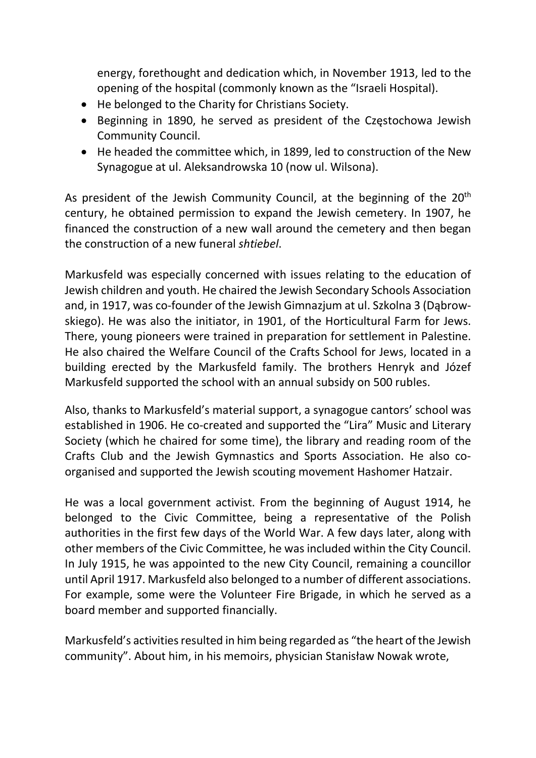energy, forethought and dedication which, in November 1913, led to the opening of the hospital (commonly known as the "Israeli Hospital).

- He belonged to the Charity for Christians Society.
- Beginning in 1890, he served as president of the Częstochowa Jewish Community Council.
- He headed the committee which, in 1899, led to construction of the New Synagogue at ul. Aleksandrowska 10 (now ul. Wilsona).

As president of the Jewish Community Council, at the beginning of the  $20<sup>th</sup>$ century, he obtained permission to expand the Jewish cemetery. In 1907, he financed the construction of a new wall around the cemetery and then began the construction of a new funeral shtiebel.

Markusfeld was especially concerned with issues relating to the education of Jewish children and youth. He chaired the Jewish Secondary Schools Association and, in 1917, was co-founder of the Jewish Gimnazjum at ul. Szkolna 3 (Dąbrowskiego). He was also the initiator, in 1901, of the Horticultural Farm for Jews. There, young pioneers were trained in preparation for settlement in Palestine. He also chaired the Welfare Council of the Crafts School for Jews, located in a building erected by the Markusfeld family. The brothers Henryk and Józef Markusfeld supported the school with an annual subsidy on 500 rubles.

Also, thanks to Markusfeld's material support, a synagogue cantors' school was established in 1906. He co-created and supported the "Lira" Music and Literary Society (which he chaired for some time), the library and reading room of the Crafts Club and the Jewish Gymnastics and Sports Association. He also coorganised and supported the Jewish scouting movement Hashomer Hatzair.

He was a local government activist. From the beginning of August 1914, he belonged to the Civic Committee, being a representative of the Polish authorities in the first few days of the World War. A few days later, along with other members of the Civic Committee, he was included within the City Council. In July 1915, he was appointed to the new City Council, remaining a councillor until April 1917. Markusfeld also belonged to a number of different associations. For example, some were the Volunteer Fire Brigade, in which he served as a board member and supported financially.

Markusfeld's activities resulted in him being regarded as "the heart of the Jewish community". About him, in his memoirs, physician Stanisław Nowak wrote,